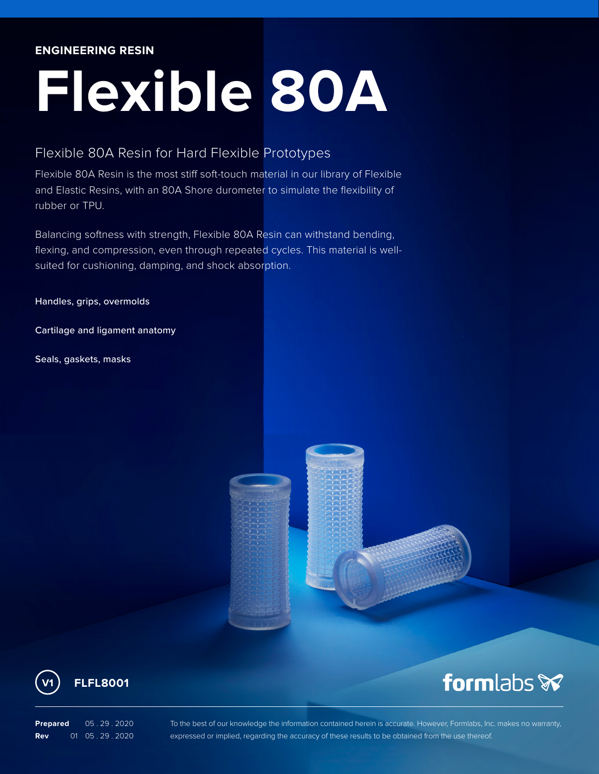#### **ENGINEERING RESIN**

# **Flexible 80A**

### Flexible 80A Resin for Hard Flexible Prototypes

Flexible 80A Resin is the most stiff soft-touch material in our library of Flexible and Elastic Resins, with an 80A Shore durometer to simulate the flexibility of rubber or TPU.

Balancing softness with strength, Flexible 80A Resin can withstand bending, flexing, and compression, even through repeated cycles. This material is wellsuited for cushioning, damping, and shock absorption.

Handles, grips, overmolds

Cartilage and ligament anatomy

Seals, gaskets, masks



**Prepared** 05 . 29 . 2020 **Rev** 01 05 . 29 . 2020

To the best of our knowledge the information contained herein is accurate. However, Formlabs, Inc. makes no warranty, expressed or implied, regarding the accuracy of these results to be obtained from the use thereof.

formlabs &